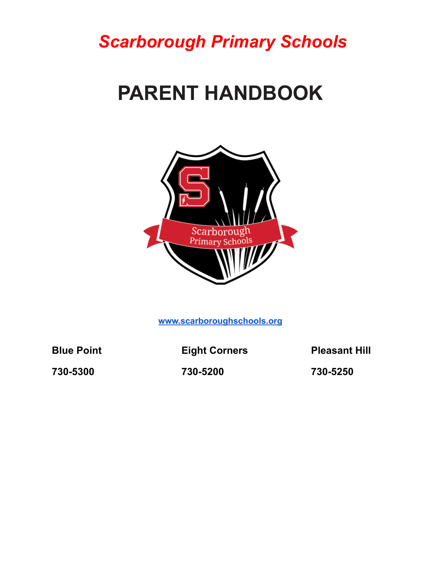*Scarborough Primary Schools*

# **PARENT HANDBOOK**



**[www.scarboroughschools.org](http://www.scarboroughschools.org)**

**Blue Point Eight Corners Pleasant Hill**

**730-5300 730-5200 730-5250**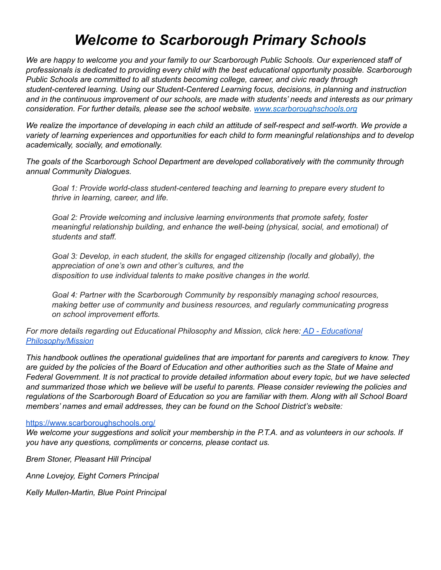# *Welcome to Scarborough Primary Schools*

We are happy to welcome you and your family to our Scarborough Public Schools. Our experienced staff of *professionals is dedicated to providing every child with the best educational opportunity possible. Scarborough Public Schools are committed to all students becoming college, career, and civic ready through student-centered learning. Using our Student-Centered Learning focus, decisions, in planning and instruction* and in the continuous improvement of our schools, are made with students' needs and interests as our primary *consideration. For further details, please see the school website. [www.scarboroughschools.org](http://www.scarboroughschools.org)*

We realize the importance of developing in each child an attitude of self-respect and self-worth. We provide a *variety of learning experiences and opportunities for each child to form meaningful relationships and to develop academically, socially, and emotionally.*

*The goals of the Scarborough School Department are developed collaboratively with the community through annual Community Dialogues.*

*Goal 1: Provide world-class student-centered teaching and learning to prepare every student to thrive in learning, career, and life.*

*Goal 2: Provide welcoming and inclusive learning environments that promote safety, foster meaningful relationship building, and enhance the well-being (physical, social, and emotional) of students and staff.*

*Goal 3: Develop, in each student, the skills for engaged citizenship (locally and globally), the appreciation of one's own and other's cultures, and the disposition to use individual talents to make positive changes in the world.*

*Goal 4: Partner with the Scarborough Community by responsibly managing school resources, making better use of community and business resources, and regularly communicating progress on school improvement efforts.*

*For more details regarding out Educational Philosophy and Mission, click here: AD - [Educational](https://sites.google.com/a/scarboroughschools.org/sps/board-of-education/policies/policies-documents/AD.pdf?attredirects=0) [Philosophy/Mission](https://sites.google.com/a/scarboroughschools.org/sps/board-of-education/policies/policies-documents/AD.pdf?attredirects=0)*

*This handbook outlines the operational guidelines that are important for parents and caregivers to know. They* are guided by the policies of the Board of Education and other authorities such as the State of Maine and Federal Government. It is not practical to provide detailed information about every topic, but we have selected and summarized those which we believe will be useful to parents. Please consider reviewing the policies and regulations of the Scarborough Board of Education so you are familiar with them. Along with all School Board *members' names and email addresses, they can be found on the School District's website:*

#### <https://www.scarboroughschools.org/>

We welcome your suggestions and solicit your membership in the P.T.A. and as volunteers in our schools. If *you have any questions, compliments or concerns, please contact us.*

*Brem Stoner, Pleasant Hill Principal*

*Anne Lovejoy, Eight Corners Principal*

*Kelly Mullen-Martin, Blue Point Principal*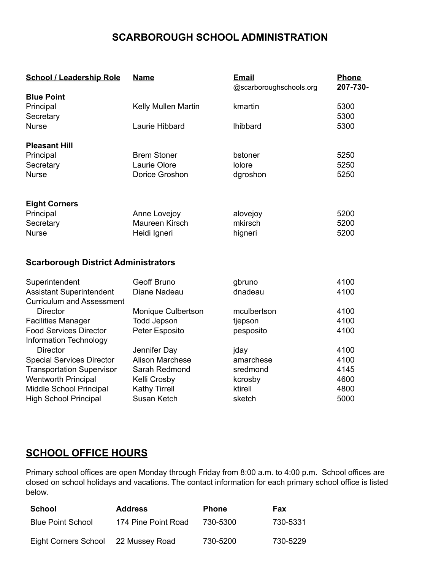# **SCARBOROUGH SCHOOL ADMINISTRATION**

| <b>School / Leadership Role</b>            | <b>Name</b>            | <b>Email</b><br>@scarboroughschools.org | <b>Phone</b><br>207-730- |
|--------------------------------------------|------------------------|-----------------------------------------|--------------------------|
| <b>Blue Point</b>                          |                        |                                         |                          |
| Principal                                  | Kelly Mullen Martin    | kmartin                                 | 5300                     |
| Secretary                                  |                        |                                         | 5300                     |
| <b>Nurse</b>                               | Laurie Hibbard         | <b>Ihibbard</b>                         | 5300                     |
| <b>Pleasant Hill</b>                       |                        |                                         |                          |
| Principal                                  | <b>Brem Stoner</b>     | bstoner                                 | 5250                     |
| Secretary                                  | Laurie Olore           | <b>lolore</b>                           | 5250                     |
| <b>Nurse</b>                               | Dorice Groshon         | dgroshon                                | 5250                     |
|                                            |                        |                                         |                          |
| <b>Eight Corners</b>                       |                        |                                         |                          |
| Principal                                  | Anne Lovejoy           | alovejoy                                | 5200                     |
| Secretary                                  | Maureen Kirsch         | mkirsch                                 | 5200                     |
| <b>Nurse</b>                               | Heidi Igneri           | higneri                                 | 5200                     |
|                                            |                        |                                         |                          |
| <b>Scarborough District Administrators</b> |                        |                                         |                          |
| Superintendent                             | <b>Geoff Bruno</b>     | gbruno                                  | 4100                     |
| <b>Assistant Superintendent</b>            | Diane Nadeau           | dnadeau                                 | 4100                     |
| <b>Curriculum and Assessment</b>           |                        |                                         |                          |
| <b>Director</b>                            | Monique Culbertson     | mculbertson                             | 4100                     |
| <b>Facilities Manager</b>                  | <b>Todd Jepson</b>     | tjepson                                 | 4100                     |
| <b>Food Services Director</b>              | Peter Esposito         | pesposito                               | 4100                     |
| Information Technology                     |                        |                                         |                          |
| <b>Director</b>                            | Jennifer Day           | jday                                    | 4100                     |
| <b>Special Services Director</b>           | <b>Alison Marchese</b> | amarchese                               | 4100                     |
| <b>Transportation Supervisor</b>           | Sarah Redmond          | sredmond                                | 4145                     |
| <b>Wentworth Principal</b>                 | Kelli Crosby           | kcrosby                                 | 4600                     |
| Middle School Principal                    | <b>Kathy Tirrell</b>   | ktirell                                 | 4800                     |
| <b>High School Principal</b>               | Susan Ketch            | sketch                                  | 5000                     |

# **SCHOOL OFFICE HOURS**

Primary school offices are open Monday through Friday from 8:00 a.m. to 4:00 p.m. School offices are closed on school holidays and vacations. The contact information for each primary school office is listed below.

| School                   | <b>Address</b>      | <b>Phone</b> | Fax      |
|--------------------------|---------------------|--------------|----------|
| <b>Blue Point School</b> | 174 Pine Point Road | 730-5300     | 730-5331 |
| Eight Corners School     | 22 Mussey Road      | 730-5200     | 730-5229 |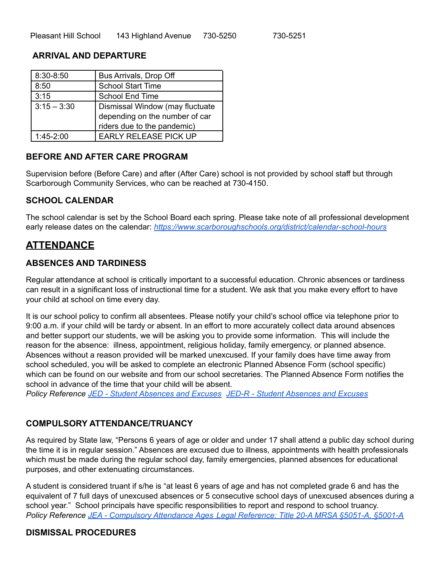#### **ARRIVAL AND DEPARTURE**

| 8:30-8:50     | Bus Arrivals, Drop Off                                                                           |
|---------------|--------------------------------------------------------------------------------------------------|
| 8:50          | <b>School Start Time</b>                                                                         |
| 3:15          | <b>School End Time</b>                                                                           |
| $3:15 - 3:30$ | Dismissal Window (may fluctuate<br>depending on the number of car<br>riders due to the pandemic) |
| $1:45-2:00$   | <b>EARLY RELEASE PICK UP</b>                                                                     |

#### **BEFORE AND AFTER CARE PROGRAM**

Supervision before (Before Care) and after (After Care) school is not provided by school staff but through Scarborough Community Services, who can be reached at 730-4150.

#### **SCHOOL CALENDAR**

The school calendar is set by the School Board each spring. Please take note of all professional development early release dates on the calendar: *<https://www.scarboroughschools.org/district/calendar-school-hours>*

# **ATTENDANCE**

#### **ABSENCES AND TARDINESS**

Regular attendance at school is critically important to a successful education. Chronic absences or tardiness can result in a significant loss of instructional time for a student. We ask that you make every effort to have your child at school on time every day.

It is our school policy to confirm all absentees. Please notify your child's school office via telephone prior to 9:00 a.m. if your child will be tardy or absent. In an effort to more accurately collect data around absences and better support our students, we will be asking you to provide some information. This will include the reason for the absence: illness, appointment, religious holiday, family emergency, or planned absence. Absences without a reason provided will be marked unexcused. If your family does have time away from school scheduled, you will be asked to complete an electronic Planned Absence Form (school specific) which can be found on our website and from our school secretaries. The Planned Absence Form notifies the school in advance of the time that your child will be absent.

*Policy Reference JED - Student [Absences](https://sites.google.com/a/scarboroughschools.org/sps/board-of-education/policies/policies-documents/JED.pdf?attredirects=0) and Excuses JED-R - Student [Absences](https://sites.google.com/a/scarboroughschools.org/sps/board-of-education/policies/policies-documents/JED-R.pdf?attredirects=0) and Excuses*

#### **COMPULSORY ATTENDANCE/TRUANCY**

As required by State law, "Persons 6 years of age or older and under 17 shall attend a public day school during the time it is in regular session." Absences are excused due to illness, appointments with health professionals which must be made during the regular school day, family emergencies, planned absences for educational purposes, and other extenuating circumstances.

A student is considered truant if s/he is "at least 6 years of age and has not completed grade 6 and has the equivalent of 7 full days of unexcused absences or 5 consecutive school days of unexcused absences during a school year." School principals have specific responsibilities to report and respond to school truancy. *Policy Reference JEA - [Compulsory](https://sites.google.com/a/scarboroughschools.org/sps/board-of-education/policies/policies-documents/JEA.pdf?attredirects=0) Attendance Ages Legal Reference: Title 20-A MRSA §5051-A, §5001-A*

#### **DISMISSAL PROCEDURES**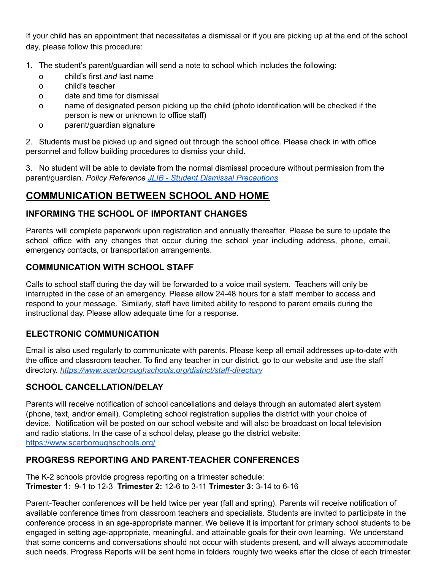If your child has an appointment that necessitates a dismissal or if you are picking up at the end of the school day, please follow this procedure:

- 1. The student's parent/guardian will send a note to school which includes the following:
	- o child's first *and* last name
	- o child's teacher
	- o date and time for dismissal
	- o name of designated person picking up the child (photo identification will be checked if the person is new or unknown to office staff)
	- o parent/guardian signature

2. Students must be picked up and signed out through the school office. Please check in with office personnel and follow building procedures to dismiss your child.

3. No student will be able to deviate from the normal dismissal procedure without permission from the parent/guardian. *Policy Reference JLIB - Student Dismissal [Precautions](https://sites.google.com/a/scarboroughschools.org/sps/board-of-education/policies/policies-documents/JLIB.pdf?attredirects=0)*

# **COMMUNICATION BETWEEN SCHOOL AND HOME**

## **INFORMING THE SCHOOL OF IMPORTANT CHANGES**

Parents will complete paperwork upon registration and annually thereafter. Please be sure to update the school office with any changes that occur during the school year including address, phone, email, emergency contacts, or transportation arrangements.

#### **COMMUNICATION WITH SCHOOL STAFF**

Calls to school staff during the day will be forwarded to a voice mail system. Teachers will only be interrupted in the case of an emergency. Please allow 24-48 hours for a staff member to access and respond to your message. Similarly, staff have limited ability to respond to parent emails during the instructional day. Please allow adequate time for a response.

# **ELECTRONIC COMMUNICATION**

Email is also used regularly to communicate with parents. Please keep all email addresses up-to-date with the office and classroom teacher. To find any teacher in our district, go to our website and use the staff directory. *<https://www.scarboroughschools.org/district/staff-directory>*

# **SCHOOL CANCELLATION/DELAY**

Parents will receive notification of school cancellations and delays through an automated alert system (phone, text, and/or email). Completing school registration supplies the district with your choice of device. Notification will be posted on our school website and will also be broadcast on local television and radio stations. In the case of a school delay, please go the district website: <https://www.scarboroughschools.org/>

# **PROGRESS REPORTING AND PARENT-TEACHER CONFERENCES**

The K-2 schools provide progress reporting on a trimester schedule: **Trimester 1**: 9-1 to 12-3 **Trimester 2:** 12-6 to 3-11 **Trimester 3:** 3-14 to 6-16

Parent-Teacher conferences will be held twice per year (fall and spring). Parents will receive notification of available conference times from classroom teachers and specialists. Students are invited to participate in the conference process in an age-appropriate manner. We believe it is important for primary school students to be engaged in setting age-appropriate, meaningful, and attainable goals for their own learning. We understand that some concerns and conversations should not occur with students present, and will always accommodate such needs. Progress Reports will be sent home in folders roughly two weeks after the close of each trimester.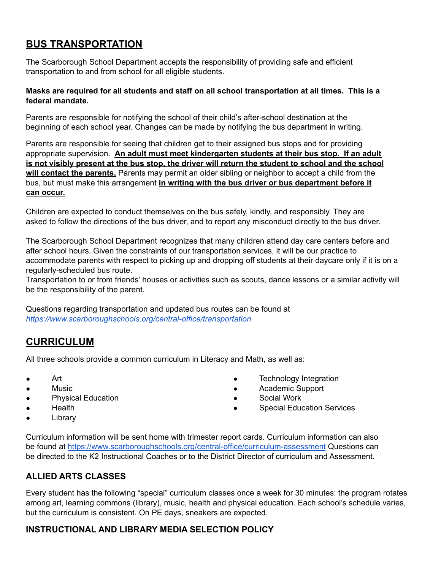# **BUS TRANSPORTATION**

The Scarborough School Department accepts the responsibility of providing safe and efficient transportation to and from school for all eligible students.

#### **Masks are required for all students and staff on all school transportation at all times. This is a federal mandate.**

Parents are responsible for notifying the school of their child's after-school destination at the beginning of each school year. Changes can be made by notifying the bus department in writing.

Parents are responsible for seeing that children get to their assigned bus stops and for providing appropriate supervision. **An adult must meet kindergarten students at their bus stop. If an adult** is not visibly present at the bus stop, the driver will return the student to school and the school **will contact the parents.** Parents may permit an older sibling or neighbor to accept a child from the bus, but must make this arrangement **in writing with the bus driver or bus department before it can occur.**

Children are expected to conduct themselves on the bus safely, kindly, and responsibly. They are asked to follow the directions of the bus driver, and to report any misconduct directly to the bus driver.

The Scarborough School Department recognizes that many children attend day care centers before and after school hours. Given the constraints of our transportation services, it will be our practice to accommodate parents with respect to picking up and dropping off students at their daycare only if it is on a regularly-scheduled bus route.

Transportation to or from friends' houses or activities such as scouts, dance lessons or a similar activity will be the responsibility of the parent.

Questions regarding transportation and updated bus routes can be found at *<https://www.scarboroughschools.org/central-office/transportation>*

# **CURRICULUM**

All three schools provide a common curriculum in Literacy and Math, as well as:

- Art
- Music
- **Physical Education**
- **Health**
- Library
- Technology Integration
- Academic Support
- Social Work
- **Special Education Services**

Curriculum information will be sent home with trimester report cards. Curriculum information can also be found at <https://www.scarboroughschools.org/central-office/curriculum-assessment> Questions can be directed to the K2 Instructional Coaches or to the District Director of curriculum and Assessment.

# **ALLIED ARTS CLASSES**

Every student has the following "special" curriculum classes once a week for 30 minutes: the program rotates among art, learning commons (library), music, health and physical education. Each school's schedule varies, but the curriculum is consistent. On PE days, sneakers are expected.

# **INSTRUCTIONAL AND LIBRARY MEDIA SELECTION POLICY**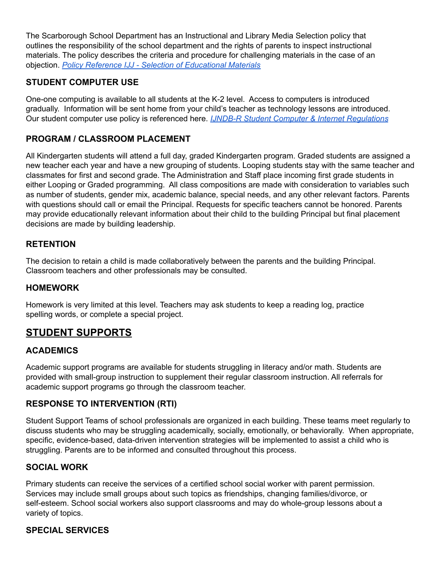The Scarborough School Department has an Instructional and Library Media Selection policy that outlines the responsibility of the school department and the rights of parents to inspect instructional materials. The policy describes the criteria and procedure for challenging materials in the case of an objection. *Policy Reference IJJ - Selection of [Educational](https://db0aae9c-a-471900dc-s-sites.googlegroups.com/a/scarboroughschools.org/sps/board-of-education/policies/policies-documents/IJJ.pdf?attachauth=ANoY7crifFNYBSvxvKQxjbA1VNL3NAuZDnU1IE7OHnIbsaNqUrU2jEc8XO1S2plQkX7tYiaIXBoSYZuTs8H_lk5t0YDKIiGZwKhJDCNBFBNsyZMUoSzfSejhSFa_ZKNbLhWAxOQSXoOEqcNU8VYcewT2ym7EJCinNQM2smEmGvR23Br3J7x5Y4Bmr55Yn5vVA1qzgYhJfeueyyDCZEmEaqOWG6YANsN10z1mmegXfdaDZ_L1u-pUqnkO8ks_VdNIaWuywx21a7VwrdKkAG7Vb6AiVsZ4t-uRqg%3D%3D&attredirects=0) Materials*

#### **STUDENT COMPUTER USE**

One-one computing is available to all students at the K-2 level. Access to computers is introduced gradually. Information will be sent home from your child's teacher as technology lessons are introduced. Our student computer use policy is referenced here. *IJNDB-R Student Computer & Internet [Regulations](https://sites.google.com/a/scarboroughschools.org/sps/board-of-education/policies/policies-documents/IJNDB-R.pdf?attredirects=0)*

#### **PROGRAM / CLASSROOM PLACEMENT**

All Kindergarten students will attend a full day, graded Kindergarten program. Graded students are assigned a new teacher each year and have a new grouping of students. Looping students stay with the same teacher and classmates for first and second grade. The Administration and Staff place incoming first grade students in either Looping or Graded programming. All class compositions are made with consideration to variables such as number of students, gender mix, academic balance, special needs, and any other relevant factors. Parents with questions should call or email the Principal. Requests for specific teachers cannot be honored. Parents may provide educationally relevant information about their child to the building Principal but final placement decisions are made by building leadership.

#### **RETENTION**

The decision to retain a child is made collaboratively between the parents and the building Principal. Classroom teachers and other professionals may be consulted.

#### **HOMEWORK**

Homework is very limited at this level. Teachers may ask students to keep a reading log, practice spelling words, or complete a special project.

# **STUDENT SUPPORTS**

#### **ACADEMICS**

Academic support programs are available for students struggling in literacy and/or math. Students are provided with small-group instruction to supplement their regular classroom instruction. All referrals for academic support programs go through the classroom teacher.

#### **RESPONSE TO INTERVENTION (RTI)**

Student Support Teams of school professionals are organized in each building. These teams meet regularly to discuss students who may be struggling academically, socially, emotionally, or behaviorally. When appropriate, specific, evidence-based, data-driven intervention strategies will be implemented to assist a child who is struggling. Parents are to be informed and consulted throughout this process.

#### **SOCIAL WORK**

Primary students can receive the services of a certified school social worker with parent permission. Services may include small groups about such topics as friendships, changing families/divorce, or self-esteem. School social workers also support classrooms and may do whole-group lessons about a variety of topics.

#### **SPECIAL SERVICES**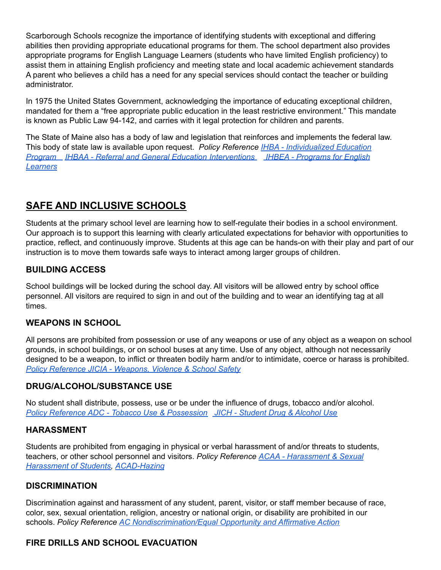Scarborough Schools recognize the importance of identifying students with exceptional and differing abilities then providing appropriate educational programs for them. The school department also provides appropriate programs for English Language Learners (students who have limited English proficiency) to assist them in attaining English proficiency and meeting state and local academic achievement standards A parent who believes a child has a need for any special services should contact the teacher or building administrator.

In 1975 the United States Government, acknowledging the importance of educating exceptional children, mandated for them a "free appropriate public education in the least restrictive environment." This mandate is known as Public Law 94-142, and carries with it legal protection for children and parents.

The State of Maine also has a body of law and legislation that reinforces and implements the federal law. This body of state law is available upon request. *Policy Reference IHBA - [Individualized](https://sites.google.com/a/scarboroughschools.org/sps/board-of-education/policies/policies-documents/IHBA.pdf?attredirects=0) Education [Program](https://sites.google.com/a/scarboroughschools.org/sps/board-of-education/policies/policies-documents/IHBA.pdf?attredirects=0) IHBAA - Referral and General Education [Interventions](https://docs.google.com/a/scarboroughschools.org/viewer?a=v&pid=sites&srcid=c2NhcmJvcm91Z2hzY2hvb2xzLm9yZ3xzcHN8Z3g6NDRlZDAzOWZhNzAwMzVi) IHBEA - [Programs](https://sites.google.com/a/scarboroughschools.org/sps/board-of-education/policies/policies-documents/IHBEA.pdf?attredirects=0) for English [Learners](https://sites.google.com/a/scarboroughschools.org/sps/board-of-education/policies/policies-documents/IHBEA.pdf?attredirects=0)*

# **SAFE AND INCLUSIVE SCHOOLS**

Students at the primary school level are learning how to self-regulate their bodies in a school environment. Our approach is to support this learning with clearly articulated expectations for behavior with opportunities to practice, reflect, and continuously improve. Students at this age can be hands-on with their play and part of our instruction is to move them towards safe ways to interact among larger groups of children.

#### **BUILDING ACCESS**

School buildings will be locked during the school day. All visitors will be allowed entry by school office personnel. All visitors are required to sign in and out of the building and to wear an identifying tag at all times.

#### **WEAPONS IN SCHOOL**

All persons are prohibited from possession or use of any weapons or use of any object as a weapon on school grounds, in school buildings, or on school buses at any time. Use of any object, although not necessarily designed to be a weapon, to inflict or threaten bodily harm and/or to intimidate, coerce or harass is prohibited. *Policy [Reference](https://sites.google.com/a/scarboroughschools.org/sps/board-of-education/policies/policies-documents/JICIA.pdf?attredirects=0) JICIA - Weapons, Violence & School Safety*

#### **DRUG/ALCOHOL/SUBSTANCE USE**

No student shall distribute, possess, use or be under the influence of drugs, tobacco and/or alcohol. *Policy Reference ADC - Tobacco Use & [Possession](https://docs.google.com/document/d/1o8_uW_Gy0D-swsz3lqmdRd9KFPb7OOpSIqymP9nWMBw/edit?usp=sharing) JICH - [Student](https://sites.google.com/a/scarboroughschools.org/sps/board-of-education/policies/policies-documents/JICH.pdf?attredirects=0) Drug & Alcohol Use*

#### **HARASSMENT**

Students are prohibited from engaging in physical or verbal harassment of and/or threats to students, teachers, or other school personnel and visitors. *Policy Reference ACAA - [Harassment](https://drive.google.com/file/d/1AlI3zl6EY3ZR0k9M8BpLvCCccpgZEont/view?usp=sharing) & Sexual [Harassment](https://drive.google.com/file/d/1AlI3zl6EY3ZR0k9M8BpLvCCccpgZEont/view?usp=sharing) of Students, [ACAD-Hazing](https://drive.google.com/file/d/1ok2GfyGQFUvGMUVSGMhXmtAja38URj94/view?usp=sharing)*

#### **DISCRIMINATION**

Discrimination against and harassment of any student, parent, visitor, or staff member because of race, color, sex, sexual orientation, religion, ancestry or national origin, or disability are prohibited in our schools. *Policy Reference AC [Nondiscrimination/Equal](https://sites.google.com/a/scarboroughschools.org/sps/board-of-education/policies/policies-documents/AC.pdf?attredirects=0) Opportunity and Affirmative Action*

#### **FIRE DRILLS AND SCHOOL EVACUATION**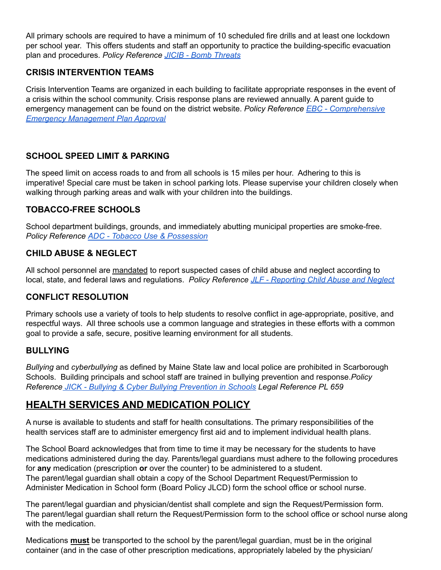All primary schools are required to have a minimum of 10 scheduled fire drills and at least one lockdown per school year. This offers students and staff an opportunity to practice the building-specific evacuation plan and procedures. *Policy Reference JICIB - Bomb [Threats](https://sites.google.com/a/scarboroughschools.org/sps/board-of-education/policies/policies-documents/JICIB.pdf?attredirects=0)*

#### **CRISIS INTERVENTION TEAMS**

Crisis Intervention Teams are organized in each building to facilitate appropriate responses in the event of a crisis within the school community. Crisis response plans are reviewed annually. A parent guide to emergency management can be found on the district website. *Policy Reference EBC - [Comprehensive](https://sites.google.com/a/scarboroughschools.org/sps/board-of-education/policies/policies-documents/EBC.pdf?attredirects=0) Emergency [Management](https://sites.google.com/a/scarboroughschools.org/sps/board-of-education/policies/policies-documents/EBC.pdf?attredirects=0) Plan Approval*

## **SCHOOL SPEED LIMIT & PARKING**

The speed limit on access roads to and from all schools is 15 miles per hour. Adhering to this is imperative! Special care must be taken in school parking lots. Please supervise your children closely when walking through parking areas and walk with your children into the buildings.

## **TOBACCO-FREE SCHOOLS**

School department buildings, grounds, and immediately abutting municipal properties are smoke-free. *Policy Reference ADC - Tobacco Use & [Possession](https://docs.google.com/document/d/1kgtYdWdIpPa747go_9aF3KCNpA-FO7iHqE89h2rMwbE/edit?usp=sharing)*

## **CHILD ABUSE & NEGLECT**

All school personnel are mandated to report suspected cases of child abuse and neglect according to local, state, and federal laws and regulations. *Policy Reference JLF - [Reporting](https://drive.google.com/file/d/1_P5TiZPGSgrZV_NjpeSf3kCJvYdBi5Qc/view?usp=sharing) Child Abuse and Neglect*

#### **CONFLICT RESOLUTION**

Primary schools use a variety of tools to help students to resolve conflict in age-appropriate, positive, and respectful ways. All three schools use a common language and strategies in these efforts with a common goal to provide a safe, secure, positive learning environment for all students.

#### **BULLYING**

*Bullying* and *cyberbullying* as defined by Maine State law and local police are prohibited in Scarborough Schools. Building principals and school staff are trained in bullying prevention and response.*Policy Reference JICK - Bullying & Cyber Bullying [Prevention](https://docs.google.com/a/scarboroughschools.org/viewer?a=v&pid=sites&srcid=c2NhcmJvcm91Z2hzY2hvb2xzLm9yZ3xzcHN8Z3g6MmYyMmQ1MzhmMTIxNmRl) in Schools Legal Reference PL 659*

# **HEALTH SERVICES AND MEDICATION POLICY**

A nurse is available to students and staff for health consultations. The primary responsibilities of the health services staff are to administer emergency first aid and to implement individual health plans.

The School Board acknowledges that from time to time it may be necessary for the students to have medications administered during the day. Parents/legal guardians must adhere to the following procedures for **any** medication (prescription **or** over the counter) to be administered to a student. The parent/legal guardian shall obtain a copy of the School Department Request/Permission to Administer Medication in School form (Board Policy JLCD) form the school office or school nurse.

The parent/legal guardian and physician/dentist shall complete and sign the Request/Permission form. The parent/legal guardian shall return the Request/Permission form to the school office or school nurse along with the medication.

Medications **must** be transported to the school by the parent/legal guardian, must be in the original container (and in the case of other prescription medications, appropriately labeled by the physician/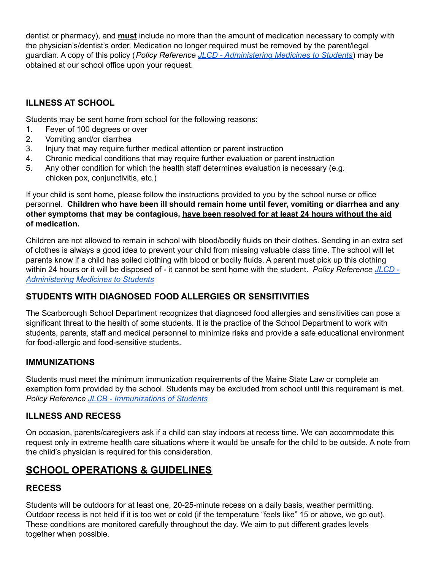dentist or pharmacy), and **must** include no more than the amount of medication necessary to comply with the physician's/dentist's order. Medication no longer required must be removed by the parent/legal guardian. A copy of this policy (*Policy Reference JLCD - [Administering](https://docs.google.com/a/scarboroughschools.org/viewer?a=v&pid=sites&srcid=c2NhcmJvcm91Z2hzY2hvb2xzLm9yZ3xzcHN8Z3g6NDQzYTJlMWI4ZDZhYjdjMQ) Medicines to Students*) may be obtained at our school office upon your request.

# **ILLNESS AT SCHOOL**

Students may be sent home from school for the following reasons:

- 1. Fever of 100 degrees or over
- 2. Vomiting and/or diarrhea
- 3. Injury that may require further medical attention or parent instruction
- 4. Chronic medical conditions that may require further evaluation or parent instruction
- 5. Any other condition for which the health staff determines evaluation is necessary (e.g. chicken pox, conjunctivitis, etc.)

If your child is sent home, please follow the instructions provided to you by the school nurse or office personnel. **Children who have been ill should remain home until fever, vomiting or diarrhea and any other symptoms that may be contagious, have been resolved for at least 24 hours without the aid of medication.**

Children are not allowed to remain in school with blood/bodily fluids on their clothes. Sending in an extra set of clothes is always a good idea to prevent your child from missing valuable class time. The school will let parents know if a child has soiled clothing with blood or bodily fluids. A parent must pick up this clothing within 24 hours or it will be disposed of - it cannot be sent home with the student. *Policy Reference [JLCD](https://docs.google.com/a/scarboroughschools.org/viewer?a=v&pid=sites&srcid=c2NhcmJvcm91Z2hzY2hvb2xzLm9yZ3xzcHN8Z3g6NDQzYTJlMWI4ZDZhYjdjMQ) - [Administering](https://docs.google.com/a/scarboroughschools.org/viewer?a=v&pid=sites&srcid=c2NhcmJvcm91Z2hzY2hvb2xzLm9yZ3xzcHN8Z3g6NDQzYTJlMWI4ZDZhYjdjMQ) Medicines to Students*

# **STUDENTS WITH DIAGNOSED FOOD ALLERGIES OR SENSITIVITIES**

The Scarborough School Department recognizes that diagnosed food allergies and sensitivities can pose a significant threat to the health of some students. It is the practice of the School Department to work with students, parents, staff and medical personnel to minimize risks and provide a safe educational environment for food-allergic and food-sensitive students.

#### **IMMUNIZATIONS**

Students must meet the minimum immunization requirements of the Maine State Law or complete an exemption form provided by the school. Students may be excluded from school until this requirement is met. *Policy Reference JLCB - [Immunizations](https://drive.google.com/file/d/1fUrLgsTDNZ7q9_hZ34WzYItCIrjxIQJv/view?usp=sharing) of Students*

# **ILLNESS AND RECESS**

On occasion, parents/caregivers ask if a child can stay indoors at recess time. We can accommodate this request only in extreme health care situations where it would be unsafe for the child to be outside. A note from the child's physician is required for this consideration.

# **SCHOOL OPERATIONS & GUIDELINES**

# **RECESS**

Students will be outdoors for at least one, 20-25-minute recess on a daily basis, weather permitting. Outdoor recess is not held if it is too wet or cold (if the temperature "feels like" 15 or above, we go out). These conditions are monitored carefully throughout the day. We aim to put different grades levels together when possible.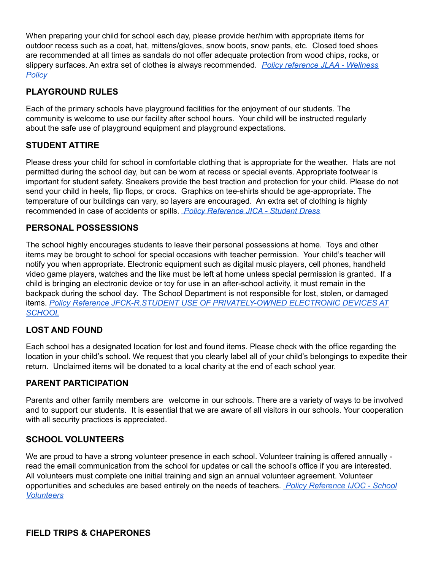When preparing your child for school each day, please provide her/him with appropriate items for outdoor recess such as a coat, hat, mittens/gloves, snow boots, snow pants, etc. Closed toed shoes are recommended at all times as sandals do not offer adequate protection from wood chips, rocks, or slippery surfaces. An extra set of clothes is always recommended. *Policy [reference](https://drive.google.com/file/d/1rjaN-yKpMe3cvfZmSNxdDi9uQWKmBpOJ/view?usp=sharing) JLAA - Wellness [Policy](https://drive.google.com/file/d/1rjaN-yKpMe3cvfZmSNxdDi9uQWKmBpOJ/view?usp=sharing)*

#### **PLAYGROUND RULES**

Each of the primary schools have playground facilities for the enjoyment of our students. The community is welcome to use our facility after school hours. Your child will be instructed regularly about the safe use of playground equipment and playground expectations.

## **STUDENT ATTIRE**

Please dress your child for school in comfortable clothing that is appropriate for the weather. Hats are not permitted during the school day, but can be worn at recess or special events. Appropriate footwear is important for student safety. Sneakers provide the best traction and protection for your child. Please do not send your child in heels, flip flops, or crocs. Graphics on tee-shirts should be age-appropriate. The temperature of our buildings can vary, so layers are encouraged. An extra set of clothing is highly recommended in case of accidents or spills. *Policy [Reference](https://sites.google.com/a/scarboroughschools.org/sps/board-of-education/policies/policies-documents/JICA.pdf?attredirects=0) JICA - Student Dress*

#### **PERSONAL POSSESSIONS**

The school highly encourages students to leave their personal possessions at home. Toys and other items may be brought to school for special occasions with teacher permission. Your child's teacher will notify you when appropriate. Electronic equipment such as digital music players, cell phones, handheld video game players, watches and the like must be left at home unless special permission is granted. If a child is bringing an electronic device or toy for use in an after-school activity, it must remain in the backpack during the school day. The School Department is not responsible for lost, stolen, or damaged items. *Policy Reference JFCK-R.STUDENT USE OF [PRIVATELY-OWNED](https://sites.google.com/a/scarboroughschools.org/sps/board-of-education/policies/policies-documents/JFCK.pdf?attredirects=0) ELECTRONIC DEVICES AT [SCHOOL](https://sites.google.com/a/scarboroughschools.org/sps/board-of-education/policies/policies-documents/JFCK.pdf?attredirects=0)*

#### **LOST AND FOUND**

Each school has a designated location for lost and found items. Please check with the office regarding the location in your child's school. We request that you clearly label all of your child's belongings to expedite their return. Unclaimed items will be donated to a local charity at the end of each school year.

#### **PARENT PARTICIPATION**

Parents and other family members are welcome in our schools. There are a variety of ways to be involved and to support our students. It is essential that we are aware of all visitors in our schools. Your cooperation with all security practices is appreciated.

#### **SCHOOL VOLUNTEERS**

We are proud to have a strong volunteer presence in each school. Volunteer training is offered annually read the email communication from the school for updates or call the school's office if you are interested. All volunteers must complete one initial training and sign an annual volunteer agreement. Volunteer opportunities and schedules are based entirely on the needs of teachers. *Policy [Reference](https://sites.google.com/a/scarboroughschools.org/sps/board-of-education/policies/policies-documents/IJOC.pdf?attredirects=0) IJOC - School [Volunteers](https://sites.google.com/a/scarboroughschools.org/sps/board-of-education/policies/policies-documents/IJOC.pdf?attredirects=0)*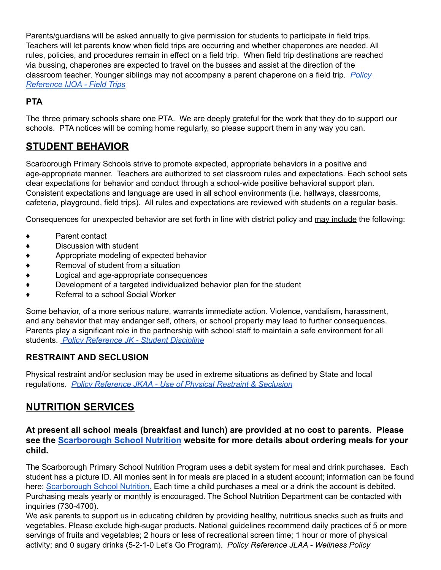Parents/guardians will be asked annually to give permission for students to participate in field trips. Teachers will let parents know when field trips are occurring and whether chaperones are needed. All rules, policies, and procedures remain in effect on a field trip. When field trip destinations are reached via bussing, chaperones are expected to travel on the busses and assist at the direction of the classroom teacher. Younger siblings may not accompany a parent chaperone on a field trip. *[Policy](https://sites.google.com/a/scarboroughschools.org/sps/board-of-education/policies/policies-documents/IJOA.pdf?attredirects=0) [Reference](https://sites.google.com/a/scarboroughschools.org/sps/board-of-education/policies/policies-documents/IJOA.pdf?attredirects=0) IJOA - Field Trips*

## **PTA**

The three primary schools share one PTA. We are deeply grateful for the work that they do to support our schools. PTA notices will be coming home regularly, so please support them in any way you can.

# **STUDENT BEHAVIOR**

Scarborough Primary Schools strive to promote expected, appropriate behaviors in a positive and age-appropriate manner. Teachers are authorized to set classroom rules and expectations. Each school sets clear expectations for behavior and conduct through a school-wide positive behavioral support plan. Consistent expectations and language are used in all school environments (i.e. hallways, classrooms, cafeteria, playground, field trips). All rules and expectations are reviewed with students on a regular basis.

Consequences for unexpected behavior are set forth in line with district policy and may include the following:

- Parent contact
- ♦ Discussion with student
- ♦ Appropriate modeling of expected behavior
- ♦ Removal of student from a situation
- ♦ Logical and age-appropriate consequences
- ♦ Development of a targeted individualized behavior plan for the student
- ♦ Referral to a school Social Worker

Some behavior, of a more serious nature, warrants immediate action. Violence, vandalism, harassment, and any behavior that may endanger self, others, or school property may lead to further consequences. Parents play a significant role in the partnership with school staff to maintain a safe environment for all students. *Policy [Reference](https://sites.google.com/a/scarboroughschools.org/sps/board-of-education/policies/policies-documents/JK.pdf?attredirects=0) JK - Student Discipline*

# **RESTRAINT AND SECLUSION**

Physical restraint and/or seclusion may be used in extreme situations as defined by State and local regulations. *Policy [Reference](https://docs.google.com/a/scarboroughschools.org/viewer?a=v&pid=sites&srcid=c2NhcmJvcm91Z2hzY2hvb2xzLm9yZ3xzcHN8Z3g6MmJlYzVmYzEyNjlkYzYyYQ) JKAA - Use of Physical Restraint & Seclusion*

# **NUTRITION SERVICES**

#### **At present all school meals (breakfast and lunch) are provided at no cost to parents. Please see the [Scarborough School Nutrition](https://www.scarboroughschools.org/central-office/nutrition-program) website for more details about ordering meals for your child.**

The Scarborough Primary School Nutrition Program uses a debit system for meal and drink purchases. Each student has a picture ID. All monies sent in for meals are placed in a student account; information can be found here: [Scarborough](https://www.scarboroughschools.org/central-office/nutrition-program) School Nutrition. Each time a child purchases a meal or a drink the account is debited. Purchasing meals yearly or monthly is encouraged. The School Nutrition Department can be contacted with inquiries (730-4700).

We ask parents to support us in educating children by providing healthy, nutritious snacks such as fruits and vegetables. Please exclude high-sugar products. National guidelines recommend daily practices of 5 or more servings of fruits and vegetables; 2 hours or less of recreational screen time; 1 hour or more of physical activity; and 0 sugary drinks (5-2-1-0 Let's Go Program). *Policy Reference JLAA - Wellness Policy*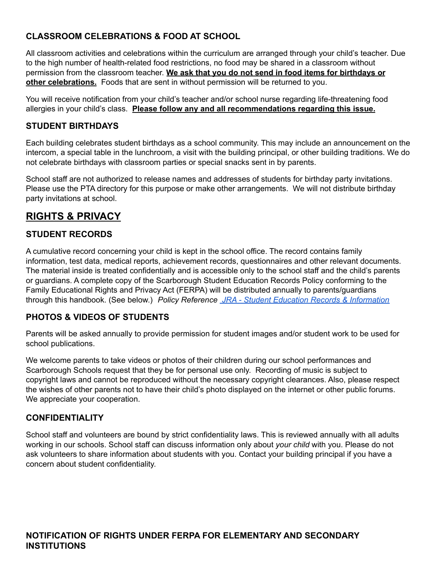## **CLASSROOM CELEBRATIONS & FOOD AT SCHOOL**

All classroom activities and celebrations within the curriculum are arranged through your child's teacher. Due to the high number of health-related food restrictions, no food may be shared in a classroom without permission from the classroom teacher. **We ask that you do not send in food items for birthdays or other celebrations.** Foods that are sent in without permission will be returned to you.

You will receive notification from your child's teacher and/or school nurse regarding life-threatening food allergies in your child's class. **Please follow any and all recommendations regarding this issue.**

#### **STUDENT BIRTHDAYS**

Each building celebrates student birthdays as a school community. This may include an announcement on the intercom, a special table in the lunchroom, a visit with the building principal, or other building traditions. We do not celebrate birthdays with classroom parties or special snacks sent in by parents.

School staff are not authorized to release names and addresses of students for birthday party invitations. Please use the PTA directory for this purpose or make other arrangements. We will not distribute birthday party invitations at school.

# **RIGHTS & PRIVACY**

#### **STUDENT RECORDS**

A cumulative record concerning your child is kept in the school office. The record contains family information, test data, medical reports, achievement records, questionnaires and other relevant documents. The material inside is treated confidentially and is accessible only to the school staff and the child's parents or guardians. A complete copy of the Scarborough Student Education Records Policy conforming to the Family Educational Rights and Privacy Act (FERPA) will be distributed annually to parents/guardians through this handbook. (See below.) *Policy Reference JRA - Student Education Records & [Information](https://sites.google.com/a/scarboroughschools.org/sps/board-of-education/policies/policies-documents/JRA.pdf?attredirects=0)*

#### **PHOTOS & VIDEOS OF STUDENTS**

Parents will be asked annually to provide permission for student images and/or student work to be used for school publications.

We welcome parents to take videos or photos of their children during our school performances and Scarborough Schools request that they be for personal use only. Recording of music is subject to copyright laws and cannot be reproduced without the necessary copyright clearances. Also, please respect the wishes of other parents not to have their child's photo displayed on the internet or other public forums. We appreciate your cooperation.

#### **CONFIDENTIALITY**

School staff and volunteers are bound by strict confidentiality laws. This is reviewed annually with all adults working in our schools. School staff can discuss information only about *your child* with you. Please do not ask volunteers to share information about students with you. Contact your building principal if you have a concern about student confidentiality.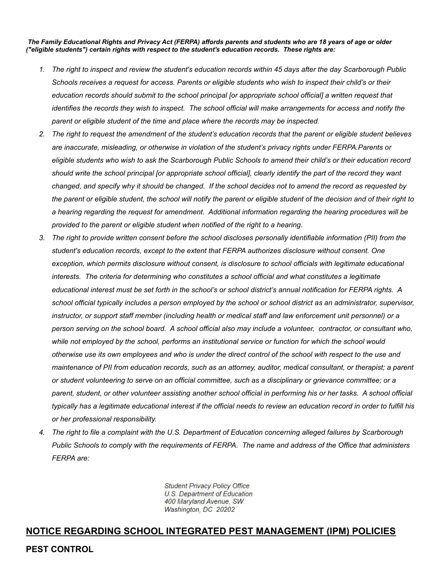*The Family Educational Rights and Privacy Act (FERPA) affords parents and students who are 18 years of age or older ("eligible students") certain rights with respect to the student's education records. These rights are:*

- 1. The right to inspect and review the student's education records within 45 days after the day Scarborough Public Schools receives a request for access. Parents or eligible students who wish to inspect their child's or their *education records should submit to the school principal [or appropriate school official] a written request that* identifies the records they wish to inspect. The school official will make arrangements for access and notify the *parent or eligible student of the time and place where the records may be inspected.*
- 2. The right to request the amendment of the student's education records that the parent or eligible student believes *are inaccurate, misleading, or otherwise in violation of the student's privacy rights under FERPA.Parents or* eligible students who wish to ask the Scarborough Public Schools to amend their child's or their education record should write the school principal for appropriate school officiall, clearly identify the part of the record they want changed, and specify why it should be changed. If the school decides not to amend the record as requested by the parent or eligible student, the school will notify the parent or eligible student of the decision and of their right to *a hearing regarding the request for amendment. Additional information regarding the hearing procedures will be provided to the parent or eligible student when notified of the right to a hearing.*
- 3. The right to provide written consent before the school discloses personally identifiable information (PII) from the *student's education records, except to the extent that FERPA authorizes disclosure without consent. One exception, which permits disclosure without consent, is disclosure to school officials with legitimate educational interests. The criteria for determining who constitutes a school official and what constitutes a legitimate* educational interest must be set forth in the school's or school district's annual notification for FERPA rights. A school official typically includes a person employed by the school or school district as an administrator, supervisor, instructor, or support staff member (including health or medical staff and law enforcement unit personnel) or a person serving on the school board. A school official also may include a volunteer, contractor, or consultant who, while not employed by the school, performs an institutional service or function for which the school would otherwise use its own employees and who is under the direct control of the school with respect to the use and maintenance of PII from education records, such as an attorney, auditor, medical consultant, or therapist; a parent or student volunteering to serve on an official committee, such as a disciplinary or grievance committee; or a parent, student, or other volunteer assisting another school official in performing his or her tasks. A school official typically has a legitimate educational interest if the official needs to review an education record in order to fulfill his *or her professional responsibility.*
- 4. The right to file a complaint with the U.S. Department of Education concerning alleged failures by Scarborough Public Schools to comply with the requirements of FERPA. The name and address of the Office that administers *FERPA are:*

**Student Privacy Policy Office** U.S. Department of Education 400 Maryland Avenue, SW Washington, DC 20202

#### **NOTICE REGARDING SCHOOL INTEGRATED PEST MANAGEMENT (IPM) POLICIES**

#### **PEST CONTROL**